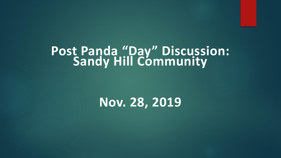#### **Post Panda "Day" Discussion: Sandy Hill Community**

### **Nov. 28, 2019**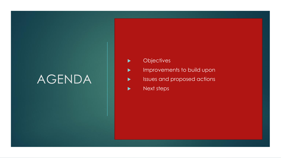## AGENDA

- **Diensity**
- **IMPROVEMENTS TO build upon**
- sues and proposed actions
- Next steps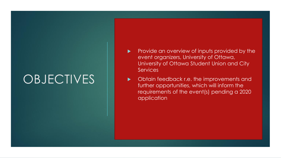## **OBJECTIVES**

- Provide an overview of inputs provided by the event organizers, University of Ottawa, University of Ottawa Student Union and City **Services**
- Obtain feedback r.e. the improvements and further opportunities, which will inform the requirements of the event(s) pending a 2020 application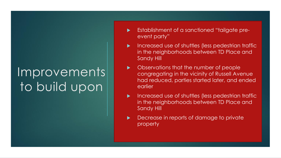# Improvements to build upon

- Establishment of a sanctioned "tailgate preevent party"
- Increased use of shuttles (less pedestrian traffic in the neighborhoods between TD Place and Sandy Hill
- Observations that the number of people congregating in the vicinity of Russell Avenue had reduced, parties started later, and ended earlier
- Increased use of shuttles (less pedestrian traffic in the neighborhoods between TD Place and Sandy Hill
- Decrease in reports of damage to private property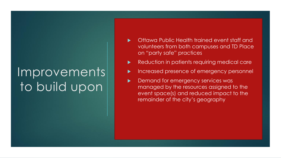# Improvements to build upon

- Ottawa Public Health trained event staff and volunteers from both campuses and TD Place on "party safe" practices
- Reduction in patients requiring medical care
- Increased presence of emergency personnel
- Demand for emergency services was managed by the resources assigned to the event space(s) and reduced impact to the remainder of the city's geography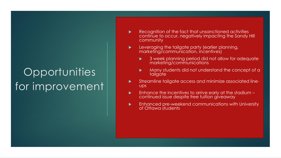## **Opportunities** for improvement

- Recognition of the fact that unsanctioned activities continue to occur, negatively impacting the Sandy Hill community
- **Leveraging the tailgate party (earlier planning,** marketing/communication, incentives)
	- 3 week planning period did not allow for adequate marketing/communications
	- Many students did not understand the concept of a **tailgate**
- **Streamline tailgate access and minimize associated line**ups
- $\blacktriangleright$  Enhance the incentives to arrive early at the stadium  $$ continued issue despite free tuition giveaway
- **Enhanced pre-weekend communications with University** of Ottawa students